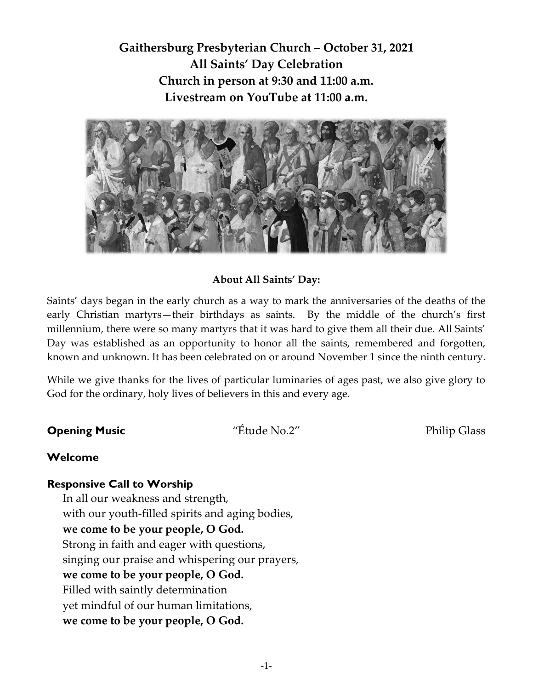**Gaithersburg Presbyterian Church – October 31, 2021 All Saints' Day Celebration Church in person at 9:30 and 11:00 a.m. Livestream on YouTube at 11:00 a.m.**



### **About All Saints' Day:**

Saints' days began in the early church as a way to mark the anniversaries of the deaths of the early Christian martyrs—their birthdays as saints. By the middle of the church's first millennium, there were so many martyrs that it was hard to give them all their due. All Saints' Day was established as an opportunity to honor all the saints, remembered and forgotten, known and unknown. It has been celebrated on or around November 1 since the ninth century.

While we give thanks for the lives of particular luminaries of ages past, we also give glory to God for the ordinary, holy lives of believers in this and every age.

**Opening Music**  $\qquad$  "Étude No.2" Philip Glass

### **Welcome**

### **Responsive Call to Worship**

In all our weakness and strength, with our youth-filled spirits and aging bodies, **we come to be your people, O God.** Strong in faith and eager with questions, singing our praise and whispering our prayers, **we come to be your people, O God.** Filled with saintly determination yet mindful of our human limitations, **we come to be your people, O God.**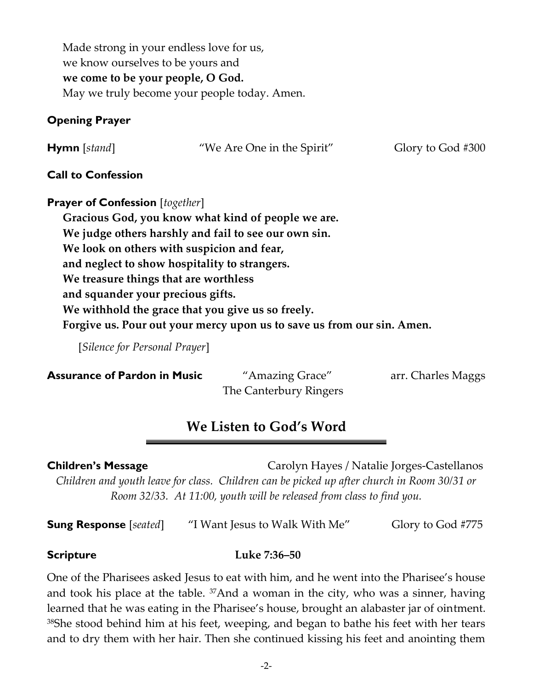Made strong in your endless love for us, we know ourselves to be yours and **we come to be your people, O God.** May we truly become your people today. Amen.

# **Opening Prayer**

| <b>Hymn</b> [stand] | "We Are One in the Spirit" | Glory to God #300 |
|---------------------|----------------------------|-------------------|
|                     |                            |                   |

## **Call to Confession**

**Prayer of Confession** [*together*] **Gracious God, you know what kind of people we are. We judge others harshly and fail to see our own sin. We look on others with suspicion and fear, and neglect to show hospitality to strangers. We treasure things that are worthless and squander your precious gifts. We withhold the grace that you give us so freely. Forgive us. Pour out your mercy upon us to save us from our sin. Amen.**

[*Silence for Personal Prayer*]

## **Assurance of Pardon in Music** "Amazing Grace" arr. Charles Maggs

The Canterbury Ringers

# **We Listen to God's Word**

**Children's Message Carolyn Hayes / Natalie Jorges-Castellanos** *Children and youth leave for class. Children can be picked up after church in Room 30/31 or Room 32/33. At 11:00, youth will be released from class to find you.* 

**Sung Response** [*seated*] "I Want Jesus to Walk With Me" Glory to God #775

## **Scripture Luke 7:36–50**

One of the Pharisees asked Jesus to eat with him, and he went into the Pharisee's house and took his place at the table. 37And a woman in the city, who was a sinner, having learned that he was eating in the Pharisee's house, brought an alabaster jar of ointment. <sup>38</sup>She stood behind him at his feet, weeping, and began to bathe his feet with her tears and to dry them with her hair. Then she continued kissing his feet and anointing them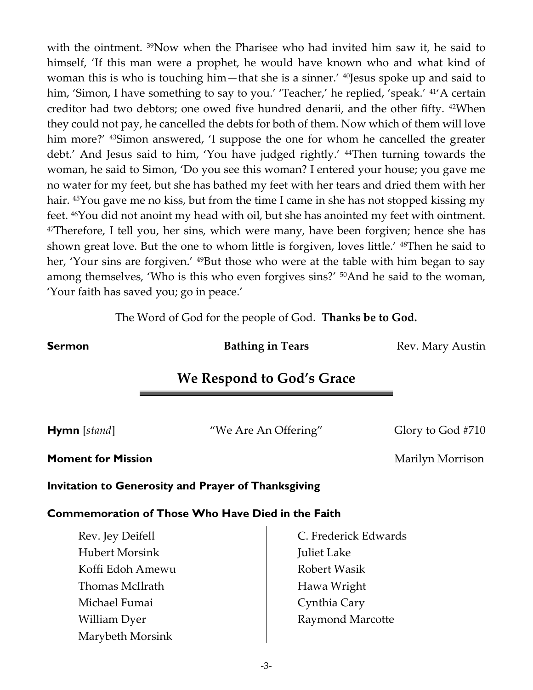with the ointment. <sup>39</sup>Now when the Pharisee who had invited him saw it, he said to himself, 'If this man were a prophet, he would have known who and what kind of woman this is who is touching him—that she is a sinner.' 40Jesus spoke up and said to him, 'Simon, I have something to say to you.' 'Teacher,' he replied, 'speak.' <sup>41</sup>'A certain creditor had two debtors; one owed five hundred denarii, and the other fifty. 42When they could not pay, he cancelled the debts for both of them. Now which of them will love him more?' <sup>43</sup>Simon answered, 'I suppose the one for whom he cancelled the greater debt.' And Jesus said to him, 'You have judged rightly.' 44Then turning towards the woman, he said to Simon, 'Do you see this woman? I entered your house; you gave me no water for my feet, but she has bathed my feet with her tears and dried them with her hair. <sup>45</sup>You gave me no kiss, but from the time I came in she has not stopped kissing my feet. 46You did not anoint my head with oil, but she has anointed my feet with ointment. <sup>47</sup>Therefore, I tell you, her sins, which were many, have been forgiven; hence she has shown great love. But the one to whom little is forgiven, loves little.' 48Then he said to her, 'Your sins are forgiven.' <sup>49</sup>But those who were at the table with him began to say among themselves, 'Who is this who even forgives sins?' 50And he said to the woman, 'Your faith has saved you; go in peace.'

The Word of God for the people of God. **Thanks be to God.**

**Sermon Bathing in Tears** Rev. Mary Austin

# **We Respond to God's Grace**

**Hymn** [*stand*] "We Are An Offering" Glory to God #710

**Moment for Mission** Marilyn Morrison

**Invitation to Generosity and Prayer of Thanksgiving**

### **Commemoration of Those Who Have Died in the Faith**

| Rev. Jey Deifell      | C. Frederick Edwards    |
|-----------------------|-------------------------|
| <b>Hubert Morsink</b> | Juliet Lake             |
| Koffi Edoh Amewu      | Robert Wasik            |
| Thomas McIlrath       | Hawa Wright             |
| Michael Fumai         | Cynthia Cary            |
| William Dyer          | <b>Raymond Marcotte</b> |
| Marybeth Morsink      |                         |